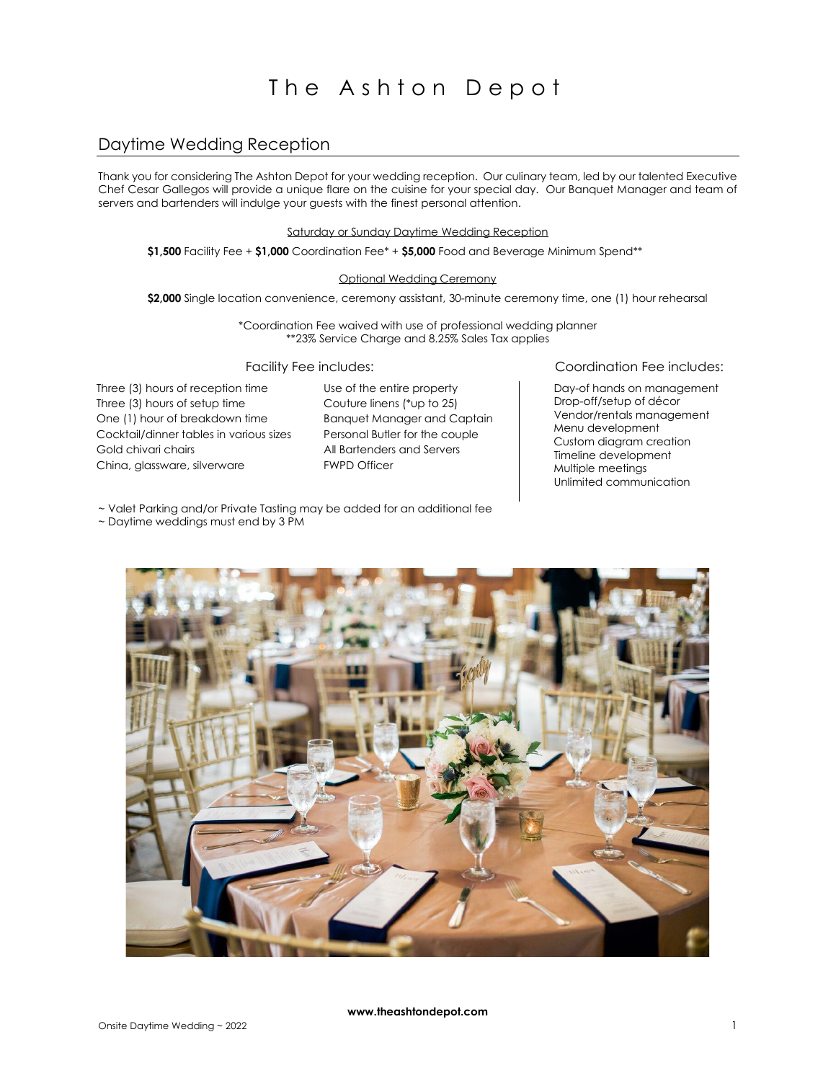# The Ashton Depot

# Daytime Wedding Reception

Thank you for considering The Ashton Depot for your wedding reception. Our culinary team, led by our talented Executive Chef Cesar Gallegos will provide a unique flare on the cuisine for your special day. Our Banquet Manager and team of servers and bartenders will indulge your guests with the finest personal attention.

Saturday or Sunday Daytime Wedding Reception

**\$1,500** Facility Fee + **\$1,000** Coordination Fee\* + **\$5,000** Food and Beverage Minimum Spend\*\*

#### Optional Wedding Ceremony

\$2,000 Single location convenience, ceremony assistant, 30-minute ceremony time, one (1) hour rehearsal

\*Coordination Fee waived with use of professional wedding planner \*\*23% Service Charge and 8.25% Sales Tax applies

Three (3) hours of reception time Three (3) hours of setup time One (1) hour of breakdown time Cocktail/dinner tables in various sizes Gold chivari chairs China, glassware, silverware

Use of the entire property Couture linens (\*up to 25) Banquet Manager and Captain Personal Butler for the couple All Bartenders and Servers FWPD Officer

### Facility Fee includes: Coordination Fee includes:

 Day-of hands on management Drop-off/setup of décor Vendor/rentals management Menu development Custom diagram creation Timeline development Multiple meetings Unlimited communication

~ Valet Parking and/or Private Tasting may be added for an additional fee

~ Daytime weddings must end by 3 PM



**www.theashtondepot.com**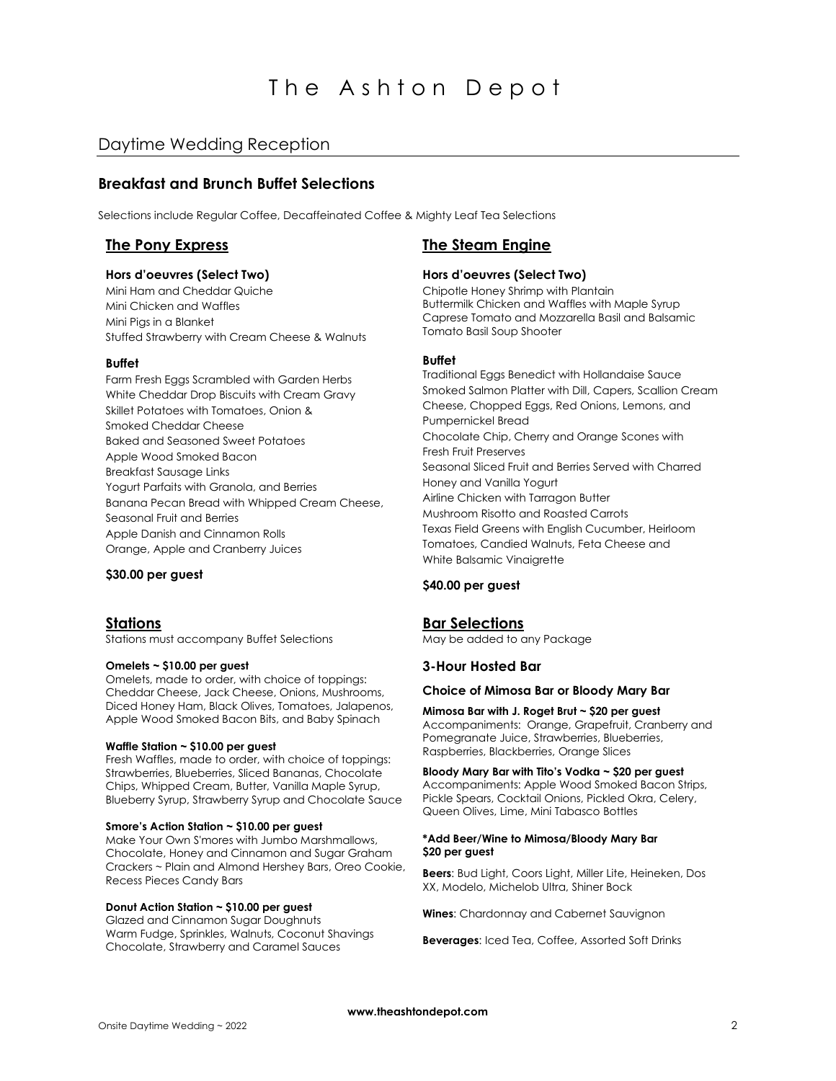# The Ashton Depot

# Daytime Wedding Reception

# **Breakfast and Brunch Buffet Selections**

Selections include Regular Coffee, Decaffeinated Coffee & Mighty Leaf Tea Selections

#### **Hors d'oeuvres (Select Two)**

Mini Ham and Cheddar Quiche Mini Chicken and Waffles Mini Pigs in a Blanket Stuffed Strawberry with Cream Cheese & Walnuts

#### **Buffet**

Farm Fresh Eggs Scrambled with Garden Herbs White Cheddar Drop Biscuits with Cream Gravy Skillet Potatoes with Tomatoes, Onion & Smoked Cheddar Cheese Baked and Seasoned Sweet Potatoes Apple Wood Smoked Bacon Breakfast Sausage Links Yogurt Parfaits with Granola, and Berries Banana Pecan Bread with Whipped Cream Cheese, Seasonal Fruit and Berries Apple Danish and Cinnamon Rolls Orange, Apple and Cranberry Juices

### **\$30.00 per guest**

Stations must accompany Buffet Selections

#### **Omelets ~ \$10.00 per guest**

Omelets, made to order, with choice of toppings: Cheddar Cheese, Jack Cheese, Onions, Mushrooms, Diced Honey Ham, Black Olives, Tomatoes, Jalapenos, Apple Wood Smoked Bacon Bits, and Baby Spinach

#### **Waffle Station ~ \$10.00 per guest**

Fresh Waffles, made to order, with choice of toppings: Strawberries, Blueberries, Sliced Bananas, Chocolate Chips, Whipped Cream, Butter, Vanilla Maple Syrup, Blueberry Syrup, Strawberry Syrup and Chocolate Sauce

#### **Smore's Action Station ~ \$10.00 per guest**

Make Your Own S'mores with Jumbo Marshmallows, Chocolate, Honey and Cinnamon and Sugar Graham Crackers ~ Plain and Almond Hershey Bars, Oreo Cookie, Recess Pieces Candy Bars

#### **Donut Action Station ~ \$10.00 per guest**

Glazed and Cinnamon Sugar Doughnuts Warm Fudge, Sprinkles, Walnuts, Coconut Shavings Chocolate, Strawberry and Caramel Sauces

# **The Pony Express The Steam Engine**

### **Hors d'oeuvres (Select Two)**

Chipotle Honey Shrimp with Plantain Buttermilk Chicken and Waffles with Maple Syrup Caprese Tomato and Mozzarella Basil and Balsamic Tomato Basil Soup Shooter

## **Buffet**

Traditional Eggs Benedict with Hollandaise Sauce Smoked Salmon Platter with Dill, Capers, Scallion Cream Cheese, Chopped Eggs, Red Onions, Lemons, and Pumpernickel Bread Chocolate Chip, Cherry and Orange Scones with Fresh Fruit Preserves Seasonal Sliced Fruit and Berries Served with Charred Honey and Vanilla Yogurt Airline Chicken with Tarragon Butter Mushroom Risotto and Roasted Carrots Texas Field Greens with English Cucumber, Heirloom Tomatoes, Candied Walnuts, Feta Cheese and White Balsamic Vinaigrette

#### **\$40.00 per guest**

### **Stations Bar Selections**

May be added to any Package

### **3-Hour Hosted Bar**

#### **Choice of Mimosa Bar or Bloody Mary Bar**

**Mimosa Bar with J. Roget Brut ~ \$20 per guest** Accompaniments: Orange, Grapefruit, Cranberry and Pomegranate Juice, Strawberries, Blueberries, Raspberries, Blackberries, Orange Slices

## **Bloody Mary Bar with Tito's Vodka ~ \$20 per guest**

Accompaniments: Apple Wood Smoked Bacon Strips, Pickle Spears, Cocktail Onions, Pickled Okra, Celery, Queen Olives, Lime, Mini Tabasco Bottles

#### **\*Add Beer/Wine to Mimosa/Bloody Mary Bar \$20 per guest**

**Beers**: Bud Light, Coors Light, Miller Lite, Heineken, Dos XX, Modelo, Michelob Ultra, Shiner Bock

**Wines**: Chardonnay and Cabernet Sauvignon

**Beverages**: Iced Tea, Coffee, Assorted Soft Drinks